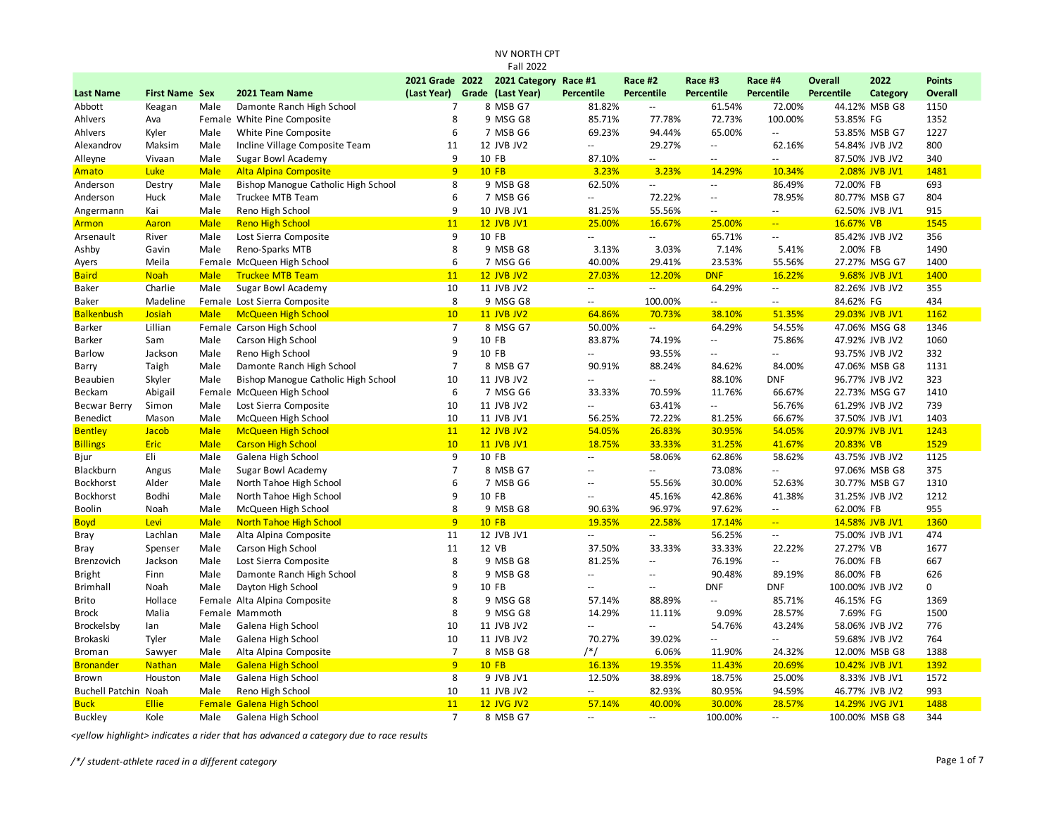|                                     |                       |                     |                                               |                 |       | NV NORTH CPT                    |                   |                           |                                               |                             |                       |                                  |               |
|-------------------------------------|-----------------------|---------------------|-----------------------------------------------|-----------------|-------|---------------------------------|-------------------|---------------------------|-----------------------------------------------|-----------------------------|-----------------------|----------------------------------|---------------|
|                                     |                       |                     |                                               |                 |       | <b>Fall 2022</b>                |                   |                           |                                               |                             |                       |                                  |               |
|                                     |                       |                     |                                               | 2021 Grade 2022 |       | 2021 Category Race #1           |                   | Race #2                   | Race #3                                       | Race #4                     | <b>Overall</b>        | 2022                             | <b>Points</b> |
| <b>Last Name</b>                    | <b>First Name Sex</b> |                     | 2021 Team Name                                | (Last Year)     | Grade | (Last Year)                     | <b>Percentile</b> | <b>Percentile</b>         | <b>Percentile</b>                             | Percentile                  | <b>Percentile</b>     | Category                         | Overall       |
| Abbott                              | Keagan                | Male                | Damonte Ranch High School                     | $\overline{7}$  |       | 8 MSB G7                        | 81.82%            | Ξ.                        | 61.54%                                        | 72.00%                      |                       | 44.12% MSB G8                    | 1150          |
| Ahlvers                             | Ava                   |                     | Female White Pine Composite                   | 8               |       | 9 MSG G8                        | 85.71%            | 77.78%                    | 72.73%                                        | 100.00%                     | 53.85% FG             |                                  | 1352          |
| Ahlvers                             | Kyler                 | Male                | White Pine Composite                          | 6               |       | 7 MSB G6                        | 69.23%            | 94.44%                    | 65.00%                                        | $\mathbb{L}^2$              |                       | 53.85% MSB G7                    | 1227          |
| Alexandrov                          | Maksim                | Male                | Incline Village Composite Team                | 11              |       | 12 JVB JV2                      | ă.                | 29.27%                    | $\overline{\phantom{a}}$                      | 62.16%                      |                       | 54.84% JVB JV2                   | 800           |
| Alleyne                             | Vivaan                | Male                | Sugar Bowl Academy                            | 9               |       | 10 FB                           | 87.10%            | Ξ.                        | $\mathord{\hspace{1pt}\text{--}\hspace{1pt}}$ | $\mathbb{L}$ .              |                       | 87.50% JVB JV2                   | 340           |
| Amato                               | <b>Luke</b>           | <b>Male</b>         | Alta Alpina Composite                         | 9               |       | <b>10 FB</b>                    | 3.23%             | 3.23%                     | 14.29%                                        | 10.34%                      |                       | 2.08% JVB JV1                    | 1481          |
| Anderson                            | Destry                | Male                | Bishop Manogue Catholic High School           | 8               |       | 9 MSB G8                        | 62.50%            | $\sim$                    | $\mathbb{L}^{\mathbb{L}}$                     | 86.49%                      | 72.00% FB             |                                  | 693           |
| Anderson                            | Huck                  | Male                | Truckee MTB Team                              | 6               |       | 7 MSB G6                        | $\overline{a}$    | 72.22%                    | $\sim$                                        | 78.95%                      |                       | 80.77% MSB G7                    | 804           |
| Angermann                           | Kai                   | Male                | Reno High School                              | 9               |       | 10 JVB JV1                      | 81.25%            | 55.56%                    | $\overline{\phantom{a}}$                      | $\sim$ $\sim$               |                       | 62.50% JVB JV1                   | 915           |
| <b>Armon</b>                        | Aaron                 | <b>Male</b>         | <b>Reno High School</b>                       | 11              |       | <b>12 JVB JV1</b>               | 25.00%            | 16.67%                    | 25.00%                                        | $\mathbb{L}\mathbb{L}$      | 16.67% VB             |                                  | 1545          |
| Arsenault                           | River                 | Male                | Lost Sierra Composite                         | 9               |       | 10 FB                           | Ξ.                | $\sim$                    | 65.71%                                        | $\overline{\phantom{a}}$    |                       | 85.42% JVB JV2                   | 356           |
| Ashby                               | Gavin                 | Male                | Reno-Sparks MTB                               | 8               |       | 9 MSB G8                        | 3.13%             | 3.03%                     | 7.14%                                         | 5.41%                       | 2.00% FB              |                                  | 1490          |
| Ayers                               | Meila                 |                     | Female McQueen High School                    | 6               |       | 7 MSG G6                        | 40.00%            | 29.41%                    | 23.53%                                        | 55.56%                      |                       | 27.27% MSG G7                    | 1400          |
| <b>Baird</b>                        | <b>Noah</b>           | <b>Male</b>         | <b>Truckee MTB Team</b>                       | 11              |       | <b>12 JVB JV2</b>               | 27.03%            | 12.20%                    | <b>DNF</b>                                    | 16.22%                      |                       | 9.68% JVB JV1                    | 1400          |
| Baker                               | Charlie               | Male                | <b>Sugar Bowl Academy</b>                     | 10              |       | 11 JVB JV2                      | Ξ.                | u.                        | 64.29%                                        | $\sim$                      |                       | 82.26% JVB JV2                   | 355           |
| Baker                               | Madeline              |                     | Female Lost Sierra Composite                  | 8               |       | 9 MSG G8                        | ÷.                | 100.00%                   | $\overline{\phantom{a}}$                      | $\overline{\phantom{a}}$    | 84.62% FG             |                                  | 434           |
| <b>Balkenbush</b>                   | Josiah                | <b>Male</b>         | <b>McQueen High School</b>                    | 10              |       | <b>11 JVB JV2</b>               | 64.86%            | 70.73%                    | 38.10%                                        | 51.35%                      |                       | 29.03% JVB JV1                   | 1162          |
| <b>Barker</b>                       | Lillian               |                     | Female Carson High School                     | $\overline{7}$  |       | 8 MSG G7                        | 50.00%            | $\overline{\phantom{a}}$  | 64.29%                                        | 54.55%                      |                       | 47.06% MSG G8                    | 1346          |
| <b>Barker</b>                       | Sam                   | Male                | Carson High School                            | 9               |       | 10 FB                           | 83.87%            | 74.19%                    | $\overline{\phantom{a}}$                      | 75.86%                      |                       | 47.92% JVB JV2                   | 1060          |
| <b>Barlow</b>                       | Jackson               | Male                | Reno High School                              | 9               |       | 10 FB                           | Ξ.                | 93.55%                    | Ξ.                                            | L.                          |                       | 93.75% JVB JV2                   | 332           |
| Barry                               | Taigh                 | Male                | Damonte Ranch High School                     | $\overline{7}$  |       | 8 MSB G7                        | 90.91%            | 88.24%                    | 84.62%                                        | 84.00%                      |                       | 47.06% MSB G8                    | 1131          |
| Beaubien                            | Skyler                | Male                | Bishop Manogue Catholic High School           | 10              |       | 11 JVB JV2                      | Ξ.                | ÷.                        | 88.10%                                        | <b>DNF</b>                  |                       | 96.77% JVB JV2                   | 323           |
| Beckam                              | Abigail               |                     | Female McQueen High School                    | 6               |       | 7 MSG G6                        | 33.33%            | 70.59%                    | 11.76%                                        | 66.67%                      |                       | 22.73% MSG G7                    | 1410          |
| <b>Becwar Berry</b>                 | Simon                 | Male                | Lost Sierra Composite                         | 10              |       | 11 JVB JV2                      | Ξ.                | 63.41%                    | $\overline{\phantom{a}}$                      | 56.76%                      |                       | 61.29% JVB JV2                   | 739           |
| <b>Benedict</b>                     | Mason                 | Male                | McQueen High School                           | 10              |       | 11 JVB JV1                      | 56.25%            | 72.22%                    | 81.25%                                        | 66.67%                      |                       | 37.50% JVB JV1                   | 1403          |
| <b>Bentley</b>                      | <b>Jacob</b>          | <b>Male</b>         | <b>McQueen High School</b>                    | 11              |       | <b>12 JVB JV2</b>               | 54.05%            | 26.83%                    | 30.95%                                        | 54.05%                      |                       | 20.97% JVB JV1                   | 1243          |
| <b>Billings</b>                     | <b>Eric</b>           | <b>Male</b>         | <b>Carson High School</b>                     | 10              |       | <b>11 JVB JV1</b>               | 18.75%            | 33.33%                    | 31.25%                                        | 41.67%                      | 20.83% VB             |                                  | 1529          |
| Bjur                                | Eli                   | Male                | Galena High School                            | 9               |       | 10 FB                           | Ξ.                | 58.06%<br>ц.              | 62.86%                                        | 58.62%                      |                       | 43.75% JVB JV2                   | 1125          |
| Blackburn                           | Angus                 | Male                | Sugar Bowl Academy                            | $\overline{7}$  |       | 8 MSB G7                        | $\sim$            |                           | 73.08%                                        | u.                          |                       | 97.06% MSB G8                    | 375           |
| <b>Bockhorst</b>                    | Alder                 | Male                | North Tahoe High School                       | 6<br>9          |       | 7 MSB G6                        | Ξ.                | 55.56%                    | 30.00%                                        | 52.63%                      |                       | 30.77% MSB G7                    | 1310          |
| <b>Bockhorst</b>                    | Bodhi                 | Male                | North Tahoe High School                       | 8               |       | 10 FB                           | Ξ.                | 45.16%                    | 42.86%                                        | 41.38%<br>$\mathbf{u}$      |                       | 31.25% JVB JV2                   | 1212          |
| Boolin<br><b>Boyd</b>               | Noah<br>Levi          | Male                | McQueen High School                           | 9               |       | 9 MSB G8<br><b>10 FB</b>        | 90.63%<br>19.35%  | 96.97%<br>22.58%          | 97.62%                                        | $\sim$                      | 62.00% FB             |                                  | 955<br>1360   |
|                                     |                       | <b>Male</b><br>Male | <b>North Tahoe High School</b>                | 11              |       | 12 JVB JV1                      | $\mathcal{L} =$   | $\mathbb{Z}^{\mathbb{Z}}$ | 17.14%<br>56.25%                              | $\mathcal{L} = \mathcal{L}$ |                       | 14.58% JVB JV1<br>75.00% JVB JV1 | 474           |
| Bray                                | Lachlan               |                     | Alta Alpina Composite<br>Carson High School   | 11              |       | 12 VB                           | 37.50%            |                           | 33.33%                                        | 22.22%                      | 27.27% VB             |                                  | 1677          |
| Bray                                | Spenser               | Male                |                                               | 8               |       |                                 | 81.25%            | 33.33%<br>Ξ.              | 76.19%                                        | $\mathbb{L}^2$              |                       |                                  | 667           |
| Brenzovich                          | Jackson               | Male<br>Male        | Lost Sierra Composite                         |                 |       | 9 MSB G8                        | Ξ.                | $\sim$ $\sim$             | 90.48%                                        | 89.19%                      | 76.00% FB             |                                  |               |
| <b>Bright</b>                       | Finn                  |                     | Damonte Ranch High School                     | 8<br>9          |       | 9 MSB G8<br>10 FB               | Ξ.                | $\ddot{\phantom{a}}$      |                                               | <b>DNF</b>                  | 86.00% FB             |                                  | 626<br>0      |
| <b>Brimhall</b>                     | Noah                  | Male                | Dayton High School                            | 8               |       |                                 |                   |                           | <b>DNF</b>                                    |                             |                       | 100.00% JVB JV2                  | 1369          |
| <b>Brito</b>                        | Hollace<br>Malia      |                     | Female Alta Alpina Composite                  | 8               |       | 9 MSG G8                        | 57.14%<br>14.29%  | 88.89%                    | $\mathbb{H}^{\mathbb{H}}$<br>9.09%            | 85.71%<br>28.57%            | 46.15% FG<br>7.69% FG |                                  | 1500          |
| Brock                               |                       |                     | Female Mammoth                                |                 |       | 9 MSG G8                        |                   | 11.11%                    |                                               |                             |                       |                                  |               |
| Brockelsby                          | lan                   | Male                | Galena High School                            | 10<br>10        |       | 11 JVB JV2                      | $\sim$ $\sim$     | $\sim$ $\sim$             | 54.76%<br>$\mathbf{u}$                        | 43.24%<br>$\mathbf{u}$      |                       | 58.06% JVB JV2                   | 776<br>764    |
| <b>Brokaski</b>                     | Tyler                 | Male                | Galena High School                            |                 |       | 11 JVB JV2                      | 70.27%            | 39.02%                    |                                               |                             |                       | 59.68% JVB JV2                   |               |
| Broman                              | Sawyer                | Male                | Alta Alpina Composite                         | $\overline{7}$  |       | 8 MSB G8                        | /*/               | 6.06%                     | 11.90%                                        | 24.32%                      |                       | 12.00% MSB G8                    | 1388          |
| <b>Bronander</b>                    | <b>Nathan</b>         | <b>Male</b>         | <b>Galena High School</b>                     | 9               |       | <b>10 FB</b>                    | 16.13%            | 19.35%                    | 11.43%                                        | 20.69%                      |                       | 10.42% JVB JV1                   | 1392          |
| Brown                               | Houston               | Male                | Galena High School                            | 8               |       | 9 JVB JV1                       | 12.50%            | 38.89%                    | 18.75%                                        | 25.00%                      |                       | 8.33% JVB JV1                    | 1572          |
| Buchell Patchin Noah<br><b>Buck</b> | <b>Ellie</b>          | Male                | Reno High School<br>Female Galena High School | 10<br>11        |       | 11 JVB JV2<br><b>12 JVG JV2</b> | Ξ.<br>57.14%      | 82.93%<br>40.00%          | 80.95%<br>30.00%                              | 94.59%<br>28.57%            |                       | 46.77% JVB JV2                   | 993<br>1488   |
|                                     | Kole                  | Male                | Galena High School                            | $\overline{7}$  |       | 8 MSB G7                        | $\mathbb{L}$ .    | $\mathbb{Z}^{\mathbb{Z}}$ | 100.00%                                       | $\mathbb{Z}^{\mathbb{Z}}$   |                       | 14.29% JVG JV1<br>100.00% MSB G8 | 344           |
| <b>Buckley</b>                      |                       |                     |                                               |                 |       |                                 |                   |                           |                                               |                             |                       |                                  |               |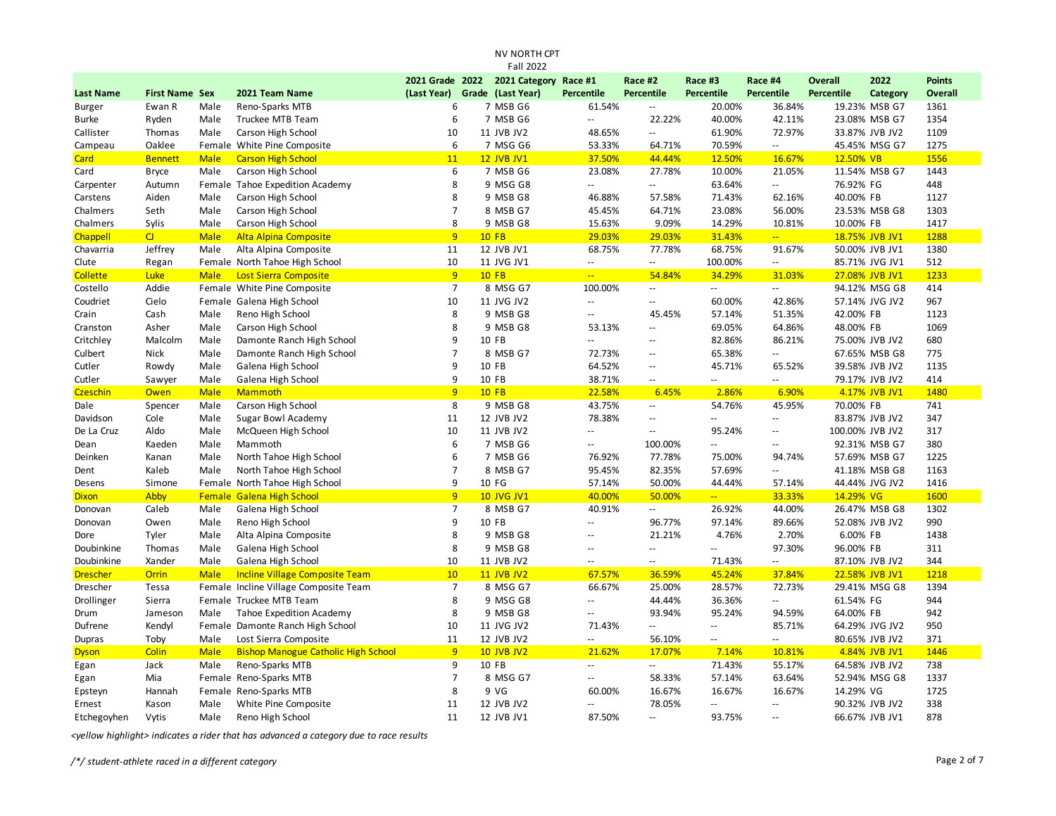|                  |                       |             |                                            |                 | <b>NV NORTH CPT</b><br><b>Fall 2022</b> |                           |                             |                           |                   |                   |                 |                |
|------------------|-----------------------|-------------|--------------------------------------------|-----------------|-----------------------------------------|---------------------------|-----------------------------|---------------------------|-------------------|-------------------|-----------------|----------------|
|                  |                       |             |                                            | 2021 Grade 2022 | 2021 Category                           | Race #1                   | Race #2                     | Race #3                   | Race #4           | <b>Overall</b>    | 2022            | <b>Points</b>  |
| <b>Last Name</b> | <b>First Name Sex</b> |             | 2021 Team Name                             | (Last Year)     | Grade (Last Year)                       | <b>Percentile</b>         | <b>Percentile</b>           | Percentile                | <b>Percentile</b> | <b>Percentile</b> | Category        | <b>Overall</b> |
| <b>Burger</b>    | Ewan R                | Male        | Reno-Sparks MTB                            | 6               | 7 MSB G6                                | 61.54%                    | $\mathcal{L}^{\mathcal{L}}$ | 20.00%                    | 36.84%            |                   | 19.23% MSB G7   | 1361           |
| Burke            | Ryden                 | Male        | Truckee MTB Team                           | 6               | 7 MSB G6                                | $\mathcal{L} =$           | 22.22%                      | 40.00%                    | 42.11%            |                   | 23.08% MSB G7   | 1354           |
| Callister        | Thomas                | Male        | Carson High School                         | 10              | 11 JVB JV2                              | 48.65%                    | $\Box$                      | 61.90%                    | 72.97%            |                   | 33.87% JVB JV2  | 1109           |
| Campeau          | Oaklee                |             | Female White Pine Composite                | 6               | 7 MSG G6                                | 53.33%                    | 64.71%                      | 70.59%                    | $-1$              |                   | 45.45% MSG G7   | 1275           |
| Card             | <b>Bennett</b>        | <b>Male</b> | <b>Carson High School</b>                  | 11              | <b>12 JVB JV1</b>                       | 37.50%                    | 44.44%                      | 12.50%                    | 16.67%            | 12.50% VB         |                 | 1556           |
| Card             | Bryce                 | Male        | Carson High School                         | 6               | 7 MSB G6                                | 23.08%                    | 27.78%                      | 10.00%                    | 21.05%            |                   | 11.54% MSB G7   | 1443           |
| Carpenter        | Autumn                |             | Female Tahoe Expedition Academy            | 8               | 9 MSG G8                                | $\mathbb{L}^2$            | $\overline{\phantom{a}}$    | 63.64%                    | $\sim$            | 76.92% FG         |                 | 448            |
| Carstens         | Aiden                 | Male        | Carson High School                         | 8               | 9 MSB G8                                | 46.88%                    | 57.58%                      | 71.43%                    | 62.16%            | 40.00% FB         |                 | 1127           |
| Chalmers         | Seth                  | Male        | Carson High School                         | $\overline{7}$  | 8 MSB G7                                | 45.45%                    | 64.71%                      | 23.08%                    | 56.00%            |                   | 23.53% MSB G8   | 1303           |
| Chalmers         | Sylis                 | Male        | Carson High School                         | 8               | 9 MSB G8                                | 15.63%                    | 9.09%                       | 14.29%                    | 10.81%            | 10.00% FB         |                 | 1417           |
| <b>Chappell</b>  | $\mathbf{C}$          | <b>Male</b> | Alta Alpina Composite                      | 9               | <b>10 FB</b>                            | 29.03%                    | 29.03%                      | 31.43%                    | <u>н. п</u>       |                   | 18.75% JVB JV1  | 1288           |
| Chavarria        | Jeffrey               | Male        | Alta Alpina Composite                      | 11              | 12 JVB JV1                              | 68.75%                    | 77.78%                      | 68.75%                    | 91.67%            |                   | 50.00% JVB JV1  | 1380           |
| Clute            | Regan                 |             | Female North Tahoe High School             | 10              | 11 JVG JV1                              | $\overline{\phantom{a}}$  | $\sim$                      | 100.00%                   | $\sim$            |                   | 85.71% JVG JV1  | 512            |
| <b>Collette</b>  | Luke                  | <b>Male</b> | <b>Lost Sierra Composite</b>               | 9               | <b>10 FB</b>                            | $\Box$                    | 54.84%                      | 34.29%                    | 31.03%            |                   | 27.08% JVB JV1  | 1233           |
| Costello         | Addie                 |             | Female White Pine Composite                | $\overline{7}$  | 8 MSG G7                                | 100.00%                   | $\overline{\phantom{a}}$    | ω.                        | ω.                |                   | 94.12% MSG G8   | 414            |
| Coudriet         | Cielo                 |             | Female Galena High School                  | 10              | 11 JVG JV2                              | Ξ.                        | $\sim$                      | 60.00%                    | 42.86%            |                   | 57.14% JVG JV2  | 967            |
| Crain            | Cash                  | Male        | Reno High School                           | 8               | 9 MSB G8                                | $\mathbb{L}^{\mathbb{L}}$ | 45.45%                      | 57.14%                    | 51.35%            | 42.00% FB         |                 | 1123           |
| Cranston         | Asher                 | Male        | Carson High School                         | 8               | 9 MSB G8                                | 53.13%                    | $\sim$ $\sim$               | 69.05%                    | 64.86%            | 48.00% FB         |                 | 1069           |
| Critchley        | Malcolm               | Male        | Damonte Ranch High School                  | 9               | 10 FB                                   | Ξ.                        | $\sim$                      | 82.86%                    | 86.21%            |                   | 75.00% JVB JV2  | 680            |
| Culbert          | Nick                  | Male        | Damonte Ranch High School                  | $\overline{7}$  | 8 MSB G7                                | 72.73%                    | $\sim$ $\sim$               | 65.38%                    | $\sim$            |                   | 67.65% MSB G8   | 775            |
| Cutler           | Rowdy                 | Male        | Galena High School                         | 9               | 10 FB                                   | 64.52%                    | $\overline{\phantom{a}}$    | 45.71%                    | 65.52%            |                   | 39.58% JVB JV2  | 1135           |
| Cutler           | Sawyer                | Male        | Galena High School                         | 9               | 10 FB                                   | 38.71%                    | $\sim$ $\sim$               | $\overline{a}$            | Щ.                |                   | 79.17% JVB JV2  | 414            |
| <b>Czeschin</b>  | Owen                  | <b>Male</b> | <b>Mammoth</b>                             | 9               | <b>10 FB</b>                            | 22.58%                    | 6.45%                       | 2.86%                     | 6.90%             |                   | 4.17% JVB JV1   | 1480           |
| Dale             | Spencer               | Male        | Carson High School                         | 8               | 9 MSB G8                                | 43.75%                    | $\mathbb{L}^{\mathbb{L}}$   | 54.76%                    | 45.95%            | 70.00% FB         |                 | 741            |
| Davidson         | Cole                  | Male        | Sugar Bowl Academy                         | 11              | 12 JVB JV2                              | 78.38%                    | $\sim$                      | Ξ.                        | Щ,                |                   | 83.87% JVB JV2  | 347            |
| De La Cruz       | Aldo                  | Male        | McQueen High School                        | 10              | 11 JVB JV2                              | Ξ.                        | $\mathbb{L}^{\mathbb{L}}$   | 95.24%                    | Ξ.                |                   | 100.00% JVB JV2 | 317            |
| Dean             | Kaeden                | Male        | Mammoth                                    | 6               | 7 MSB G6                                | $\sim$                    | 100.00%                     | $\sim$                    | $\sim$            |                   | 92.31% MSB G7   | 380            |
| Deinken          | Kanan                 | Male        | North Tahoe High School                    | 6               | 7 MSB G6                                | 76.92%                    | 77.78%                      | 75.00%                    | 94.74%            |                   | 57.69% MSB G7   | 1225           |
| Dent             | Kaleb                 | Male        | North Tahoe High School                    | $\overline{7}$  | 8 MSB G7                                | 95.45%                    | 82.35%                      | 57.69%                    | Щ.                |                   | 41.18% MSB G8   | 1163           |
| Desens           | Simone                |             | Female North Tahoe High School             | 9               | 10 FG                                   | 57.14%                    | 50.00%                      | 44.44%                    | 57.14%            |                   | 44.44% JVG JV2  | 1416           |
| <b>Dixon</b>     | Abby                  |             | <b>Female Galena High School</b>           | 9               | <b>10 JVG JV1</b>                       | 40.00%                    | 50.00%                      | $\mathbb{L} \mathbb{L}$ . | 33.33%            | 14.29% VG         |                 | 1600           |
| Donovan          | Caleb                 | Male        | Galena High School                         | $\overline{7}$  | 8 MSB G7                                | 40.91%                    | $\sim$                      | 26.92%                    | 44.00%            |                   | 26.47% MSB G8   | 1302           |
| Donovan          | Owen                  | Male        | Reno High School                           | 9               | 10 FB                                   | u.                        | 96.77%                      | 97.14%                    | 89.66%            |                   | 52.08% JVB JV2  | 990            |
| Dore             | Tyler                 | Male        | Alta Alpina Composite                      | 8               | 9 MSB G8                                | ÷.                        | 21.21%                      | 4.76%                     | 2.70%             | 6.00% FB          |                 | 1438           |
| Doubinkine       | Thomas                | Male        | Galena High School                         | 8               | 9 MSB G8                                | $\overline{\phantom{a}}$  | $\sim$ $\sim$               | Ξ.                        | 97.30%            | 96.00% FB         |                 | 311            |
| Doubinkine       | Xander                | Male        | Galena High School                         | 10              | 11 JVB JV2                              | $\sim$ $\sim$             | $\mathbf{u}$                | 71.43%                    | --                |                   | 87.10% JVB JV2  | 344            |
| <b>Drescher</b>  | Orrin                 | <b>Male</b> | <b>Incline Village Composite Team</b>      | 10              | <b>11 JVB JV2</b>                       | 67.57%                    | 36.59%                      | 45.24%                    | 37.84%            |                   | 22.58% JVB JV1  | 1218           |
| Drescher         | Tessa                 |             | Female Incline Village Composite Team      | $\overline{7}$  | 8 MSG G7                                | 66.67%                    | 25.00%                      | 28.57%                    | 72.73%            |                   | 29.41% MSG G8   | 1394           |
| Drollinger       | Sierra                |             | Female Truckee MTB Team                    | 8               | 9 MSG G8                                | u.                        | 44.44%                      | 36.36%                    | $\sim$            | 61.54% FG         |                 | 944            |
| Drum             | Jameson               | Male        | <b>Tahoe Expedition Academy</b>            | 8               | 9 MSB G8                                | $\sim$                    | 93.94%                      | 95.24%                    | 94.59%            | 64.00% FB         |                 | 942            |
| Dufrene          | Kendyl                |             | Female Damonte Ranch High School           | 10              | 11 JVG JV2                              | 71.43%                    | $\mathbb{L}^{\mathbb{L}}$   | $\mathbb{Z}^2$            | 85.71%            |                   | 64.29% JVG JV2  | 950            |
| <b>Dupras</b>    | Toby                  | Male        | Lost Sierra Composite                      | 11              | 12 JVB JV2                              | Ξ.                        | 56.10%                      | Ξ.                        | --                |                   | 80.65% JVB JV2  | 371            |
| <b>Dyson</b>     | Colin                 | <b>Male</b> | <b>Bishop Manogue Catholic High School</b> | 9               | <b>10 JVB JV2</b>                       | 21.62%                    | 17.07%                      | 7.14%                     | 10.81%            |                   | 4.84% JVB JV1   | 1446           |
| Egan             | Jack                  | Male        | Reno-Sparks MTB                            | 9               | 10 FB                                   | $\overline{\phantom{a}}$  | $\sim$                      | 71.43%                    | 55.17%            |                   | 64.58% JVB JV2  | 738            |
| Egan             | Mia                   |             | Female Reno-Sparks MTB                     | $\overline{7}$  | 8 MSG G7                                | $\mathbb{L}^{\mathbb{L}}$ | 58.33%                      | 57.14%                    | 63.64%            |                   | 52.94% MSG G8   | 1337           |
| Epsteyn          | Hannah                |             | Female Reno-Sparks MTB                     | 8               | 9 VG                                    | 60.00%                    | 16.67%                      | 16.67%                    | 16.67%            | 14.29% VG         |                 | 1725           |
| Ernest           | Kason                 | Male        | White Pine Composite                       | 11              | 12 JVB JV2                              | u.                        | 78.05%                      | uu.                       | Щ,                |                   | 90.32% JVB JV2  | 338            |
| Etchegoyhen      | Vytis                 | Male        | Reno High School                           | 11              | 12 JVB JV1                              | 87.50%                    | $\mathbf{u}$                | 93.75%                    | $\sim$            |                   | 66.67% JVB JV1  | 878            |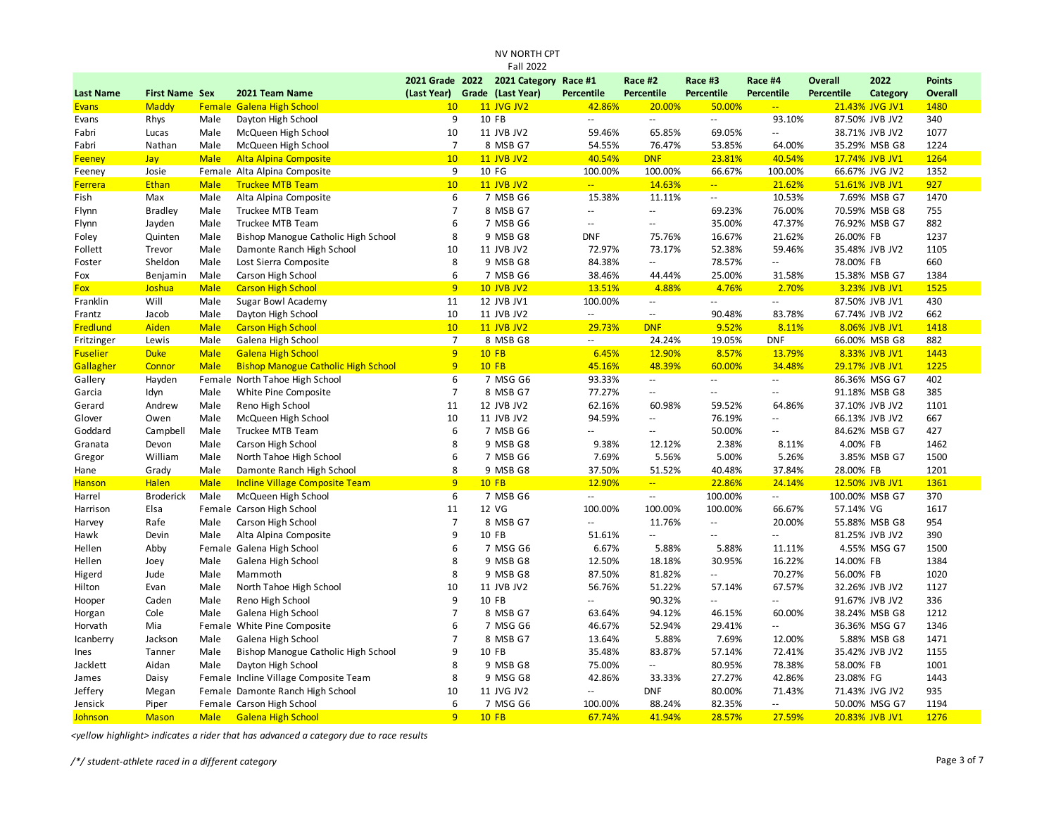|                  |                       |             |                                            |                 | NV NORTH CPT<br><b>Fall 2022</b> |                                    |                                                                                                                                                                                                                                                                                                                                                                                              |                               |               |                |                |                |
|------------------|-----------------------|-------------|--------------------------------------------|-----------------|----------------------------------|------------------------------------|----------------------------------------------------------------------------------------------------------------------------------------------------------------------------------------------------------------------------------------------------------------------------------------------------------------------------------------------------------------------------------------------|-------------------------------|---------------|----------------|----------------|----------------|
|                  |                       |             |                                            | 2021 Grade 2022 | 2021 Category Race #1            |                                    | Race #2                                                                                                                                                                                                                                                                                                                                                                                      | Race #3                       | Race #4       | <b>Overall</b> | 2022           | <b>Points</b>  |
| <b>Last Name</b> | <b>First Name Sex</b> |             | 2021 Team Name                             | (Last Year)     | Grade (Last Year)                | <b>Percentile</b>                  | <b>Percentile</b>                                                                                                                                                                                                                                                                                                                                                                            | Percentile                    | Percentile    | Percentile     | Category       | <b>Overall</b> |
| <b>Evans</b>     | <b>Maddy</b>          |             | Female Galena High School                  | 10              | 11 JVG JV2                       | 42.86%                             | 20.00%                                                                                                                                                                                                                                                                                                                                                                                       | 50.00%                        | $\frac{1}{2}$ |                | 21.43% JVG JV1 | 1480           |
| Evans            | Rhys                  | Male        | Dayton High School                         | 9               | 10 FB                            | Ξ.                                 | $\mathbb{L}^{\mathbb{L}}$                                                                                                                                                                                                                                                                                                                                                                    | $\mathbb{L}^{\mathbb{L}}$     | 93.10%        |                | 87.50% JVB JV2 | 340            |
| Fabri            | Lucas                 | Male        | McQueen High School                        | 10              | 11 JVB JV2                       | 59.46%                             | 65.85%                                                                                                                                                                                                                                                                                                                                                                                       | 69.05%                        | Ξ.            |                | 38.71% JVB JV2 | 1077           |
| Fabri            | Nathan                | Male        | McQueen High School                        | $\overline{7}$  | 8 MSB G7                         | 54.55%                             | 76.47%                                                                                                                                                                                                                                                                                                                                                                                       | 53.85%                        | 64.00%        |                | 35.29% MSB G8  | 1224           |
| Feeney           | <b>Jay</b>            | <b>Male</b> | Alta Alpina Composite                      | 10              | <b>11 JVB JV2</b>                | 40.54%                             | <b>DNF</b>                                                                                                                                                                                                                                                                                                                                                                                   | 23.81%                        | 40.54%        |                | 17.74% JVB JV1 | 1264           |
| Feeney           | Josie                 |             | Female Alta Alpina Composite               | 9               | 10 FG                            | 100.00%                            | 100.00%                                                                                                                                                                                                                                                                                                                                                                                      | 66.67%                        | 100.00%       |                | 66.67% JVG JV2 | 1352           |
| <b>Ferrera</b>   | Ethan                 | <b>Male</b> | <b>Truckee MTB Team</b>                    | 10              | <b>11 JVB JV2</b>                | $\mathbb{Z}^{\mathbb{Z}^{\times}}$ | 14.63%                                                                                                                                                                                                                                                                                                                                                                                       | $\frac{1}{2}$ , $\frac{1}{2}$ | 21.62%        |                | 51.61% JVB JV1 | 927            |
| Fish             | Max                   | Male        | Alta Alpina Composite                      | 6               | 7 MSB G6                         | 15.38%                             | 11.11%                                                                                                                                                                                                                                                                                                                                                                                       | $\sim$ $\sim$                 | 10.53%        |                | 7.69% MSB G7   | 1470           |
| Flynn            | <b>Bradley</b>        | Male        | Truckee MTB Team                           | $\overline{7}$  | 8 MSB G7                         | $\overline{a}$                     | $\mathbb{L}^{\mathbb{L}}$                                                                                                                                                                                                                                                                                                                                                                    | 69.23%                        | 76.00%        |                | 70.59% MSB G8  | 755            |
| Flynn            | Jayden                | Male        | Truckee MTB Team                           | 6               | 7 MSB G6                         | $\ddotsc$                          | $\sim$ $\sim$                                                                                                                                                                                                                                                                                                                                                                                | 35.00%                        | 47.37%        |                | 76.92% MSB G7  | 882            |
| Foley            | Quinten               | Male        | Bishop Manogue Catholic High School        | 8               | 9 MSB G8                         | <b>DNF</b>                         | 75.76%                                                                                                                                                                                                                                                                                                                                                                                       | 16.67%                        | 21.62%        | 26.00% FB      |                | 1237           |
| Follett          | Trevor                | Male        | Damonte Ranch High School                  | 10              | 11 JVB JV2                       | 72.97%                             | 73.17%                                                                                                                                                                                                                                                                                                                                                                                       | 52.38%                        | 59.46%        |                | 35.48% JVB JV2 | 1105           |
| Foster           | Sheldon               | Male        | Lost Sierra Composite                      | 8               | 9 MSB G8                         | 84.38%                             | $\sim$                                                                                                                                                                                                                                                                                                                                                                                       | 78.57%                        | $\sim$        | 78.00% FB      |                | 660            |
| Fox              | Benjamin              | Male        | Carson High School                         | 6               | 7 MSB G6                         | 38.46%                             | 44.44%                                                                                                                                                                                                                                                                                                                                                                                       | 25.00%                        | 31.58%        |                | 15.38% MSB G7  | 1384           |
| Fox              | Joshua                | <b>Male</b> | <b>Carson High School</b>                  | 9               | <b>10 JVB JV2</b>                | 13.51%                             | 4.88%                                                                                                                                                                                                                                                                                                                                                                                        | 4.76%                         | 2.70%         |                | 3.23% JVB JV1  | 1525           |
| Franklin         | Will                  | Male        | Sugar Bowl Academy                         | 11              | 12 JVB JV1                       | 100.00%                            | $\sim$ $\sim$                                                                                                                                                                                                                                                                                                                                                                                | $\sim$                        | $\sim$        |                | 87.50% JVB JV1 | 430            |
| Frantz           | Jacob                 | Male        | Dayton High School                         | 10              | 11 JVB JV2                       | Ξ.                                 | $\overline{\phantom{a}}$                                                                                                                                                                                                                                                                                                                                                                     | 90.48%                        | 83.78%        |                | 67.74% JVB JV2 | 662            |
| Fredlund         | Aiden                 | <b>Male</b> | <b>Carson High School</b>                  | 10              | <b>11 JVB JV2</b>                | 29.73%                             | <b>DNF</b>                                                                                                                                                                                                                                                                                                                                                                                   | 9.52%                         | 8.11%         |                | 8.06% JVB JV1  | 1418           |
| Fritzinger       | Lewis                 | Male        | Galena High School                         | $\overline{7}$  | 8 MSB G8                         | Ξ.                                 | 24.24%                                                                                                                                                                                                                                                                                                                                                                                       | 19.05%                        | <b>DNF</b>    |                | 66.00% MSB G8  | 882            |
| <b>Fuselier</b>  | <b>Duke</b>           | <b>Male</b> | <b>Galena High School</b>                  | 9               | <b>10 FB</b>                     | 6.45%                              | 12.90%                                                                                                                                                                                                                                                                                                                                                                                       | 8.57%                         | 13.79%        |                | 8.33% JVB JV1  | 1443           |
| Gallagher        | Connor                | <b>Male</b> | <b>Bishop Manogue Catholic High School</b> | 9               | <b>10 FB</b>                     | 45.16%                             | 48.39%                                                                                                                                                                                                                                                                                                                                                                                       | 60.00%                        | 34.48%        |                | 29.17% JVB JV1 | 1225           |
| Gallery          | Hayden                |             | Female North Tahoe High School             | 6               | 7 MSG G6                         | 93.33%                             | $\mathord{\hspace{1pt}\text{--}\hspace{1pt}}$                                                                                                                                                                                                                                                                                                                                                | $\mathbb{Z}^2$                | Ξ.            |                | 86.36% MSG G7  | 402            |
| Garcia           | Idyn                  | Male        | White Pine Composite                       | $\overline{7}$  | 8 MSB G7                         | 77.27%                             | $\mathbb{L}^2$                                                                                                                                                                                                                                                                                                                                                                               | Ξ.                            | Ξ.            |                | 91.18% MSB G8  | 385            |
| Gerard           | Andrew                | Male        | Reno High School                           | 11              | 12 JVB JV2                       | 62.16%                             | 60.98%                                                                                                                                                                                                                                                                                                                                                                                       | 59.52%                        | 64.86%        |                | 37.10% JVB JV2 | 1101           |
| Glover           | Owen                  | Male        | McQueen High School                        | 10              | 11 JVB JV2                       | 94.59%                             | $\sim$                                                                                                                                                                                                                                                                                                                                                                                       | 76.19%                        | Ξ.            |                | 66.13% JVB JV2 | 667            |
| Goddard          | Campbell              | Male        | Truckee MTB Team                           | 6               | 7 MSB G6                         | Ξ.                                 | $\sim$                                                                                                                                                                                                                                                                                                                                                                                       | 50.00%                        | ÷.            |                | 84.62% MSB G7  | 427            |
| Granata          | Devon                 | Male        | Carson High School                         | 8               | 9 MSB G8                         | 9.38%                              | 12.12%                                                                                                                                                                                                                                                                                                                                                                                       | 2.38%                         | 8.11%         | 4.00% FB       |                | 1462           |
| Gregor           | William               | Male        | North Tahoe High School                    | 6               | 7 MSB G6                         | 7.69%                              | 5.56%                                                                                                                                                                                                                                                                                                                                                                                        | 5.00%                         | 5.26%         |                | 3.85% MSB G7   | 1500           |
| Hane             | Grady                 | Male        | Damonte Ranch High School                  | 8               | 9 MSB G8                         | 37.50%                             | 51.52%                                                                                                                                                                                                                                                                                                                                                                                       | 40.48%                        | 37.84%        | 28.00% FB      |                | 1201           |
| <b>Hanson</b>    | <b>Halen</b>          | <b>Male</b> | <b>Incline Village Composite Team</b>      | 9               | <b>10 FB</b>                     | 12.90%                             | $\frac{1}{2} \frac{1}{2} \frac{1}{2} \frac{1}{2} \frac{1}{2} \frac{1}{2} \frac{1}{2} \frac{1}{2} \frac{1}{2} \frac{1}{2} \frac{1}{2} \frac{1}{2} \frac{1}{2} \frac{1}{2} \frac{1}{2} \frac{1}{2} \frac{1}{2} \frac{1}{2} \frac{1}{2} \frac{1}{2} \frac{1}{2} \frac{1}{2} \frac{1}{2} \frac{1}{2} \frac{1}{2} \frac{1}{2} \frac{1}{2} \frac{1}{2} \frac{1}{2} \frac{1}{2} \frac{1}{2} \frac{$ | 22.86%                        | 24.14%        |                | 12.50% JVB JV1 | 1361           |
| Harrel           | <b>Broderick</b>      | Male        | McQueen High School                        | 6               | 7 MSB G6                         | Ξ.                                 | $\mathbb{L} \mathbb{L}$                                                                                                                                                                                                                                                                                                                                                                      | 100.00%                       | $\sim$        |                | 100.00% MSB G7 | 370            |
| Harrison         | Elsa                  |             | Female Carson High School                  | 11              | 12 VG                            | 100.00%                            | 100.00%                                                                                                                                                                                                                                                                                                                                                                                      | 100.00%                       | 66.67%        | 57.14% VG      |                | 1617           |
| Harvey           | Rafe                  | Male        | Carson High School                         | $\overline{7}$  | 8 MSB G7                         | μ.                                 | 11.76%                                                                                                                                                                                                                                                                                                                                                                                       | $\sim$                        | 20.00%        |                | 55.88% MSB G8  | 954            |
| Hawk             | Devin                 | Male        | Alta Alpina Composite                      | 9               | 10 FB                            | 51.61%                             | $\mathbb{L}^{\mathbb{L}}$                                                                                                                                                                                                                                                                                                                                                                    | Ξ.                            | ш.            |                | 81.25% JVB JV2 | 390            |
| Hellen           | Abby                  |             | Female Galena High School                  | 6               | 7 MSG G6                         | 6.67%                              | 5.88%                                                                                                                                                                                                                                                                                                                                                                                        | 5.88%                         | 11.11%        |                | 4.55% MSG G7   | 1500           |
| Hellen           | Joey                  | Male        | Galena High School                         | 8               | 9 MSB G8                         | 12.50%                             | 18.18%                                                                                                                                                                                                                                                                                                                                                                                       | 30.95%                        | 16.22%        | 14.00% FB      |                | 1384           |
| Higerd           | Jude                  | Male        | Mammoth                                    | 8               | 9 MSB G8                         | 87.50%                             | 81.82%                                                                                                                                                                                                                                                                                                                                                                                       | $\mathbb{Z}^2$                | 70.27%        | 56.00% FB      |                | 1020           |
| Hilton           | Evan                  | Male        | North Tahoe High School                    | 10              | 11 JVB JV2                       | 56.76%                             | 51.22%                                                                                                                                                                                                                                                                                                                                                                                       | 57.14%                        | 67.57%        |                | 32.26% JVB JV2 | 1127           |
| Hooper           | Caden                 | Male        | Reno High School                           | 9               | 10 FB                            | Ξ.                                 | 90.32%                                                                                                                                                                                                                                                                                                                                                                                       | $\mathbb{Z}^2$                | $\sim$        |                | 91.67% JVB JV2 | 336            |
| Horgan           | Cole                  | Male        | Galena High School                         | $\overline{7}$  | 8 MSB G7                         | 63.64%                             | 94.12%                                                                                                                                                                                                                                                                                                                                                                                       | 46.15%                        | 60.00%        |                | 38.24% MSB G8  | 1212           |
| Horvath          | Mia                   |             | Female White Pine Composite                | 6               | 7 MSG G6                         | 46.67%                             | 52.94%                                                                                                                                                                                                                                                                                                                                                                                       | 29.41%                        | $\sim$        |                | 36.36% MSG G7  | 1346           |
| Icanberry        | Jackson               | Male        | Galena High School                         | $\overline{7}$  | 8 MSB G7                         | 13.64%                             | 5.88%                                                                                                                                                                                                                                                                                                                                                                                        | 7.69%                         | 12.00%        |                | 5.88% MSB G8   | 1471           |
| Ines             | Tanner                | Male        | Bishop Manogue Catholic High School        | 9               | 10 FB                            | 35.48%                             | 83.87%                                                                                                                                                                                                                                                                                                                                                                                       | 57.14%                        | 72.41%        |                | 35.42% JVB JV2 | 1155           |
| Jacklett         | Aidan                 | Male        | Dayton High School                         | 8               | 9 MSB G8                         | 75.00%                             | $\overline{\phantom{a}}$                                                                                                                                                                                                                                                                                                                                                                     | 80.95%                        | 78.38%        | 58.00% FB      |                | 1001           |
| James            | Daisy                 |             | Female Incline Village Composite Team      | 8               | 9 MSG G8                         | 42.86%                             | 33.33%                                                                                                                                                                                                                                                                                                                                                                                       | 27.27%                        | 42.86%        | 23.08% FG      |                | 1443           |
| Jeffery          | Megan                 |             | Female Damonte Ranch High School           | 10              | 11 JVG JV2                       | Ξ.                                 | <b>DNF</b>                                                                                                                                                                                                                                                                                                                                                                                   | 80.00%                        | 71.43%        |                | 71.43% JVG JV2 | 935            |
| Jensick          | Piper                 |             | Female Carson High School                  | 6               | 7 MSG G6                         | 100.00%                            | 88.24%                                                                                                                                                                                                                                                                                                                                                                                       | 82.35%                        | Щ.            |                | 50.00% MSG G7  | 1194           |
| Johnson          | <b>Mason</b>          | <b>Male</b> | <b>Galena High School</b>                  | $\mathbf{q}$    | <b>10 FB</b>                     | 67.74%                             | 41.94%                                                                                                                                                                                                                                                                                                                                                                                       | 28.57%                        | 27.59%        |                | 20.83% JVB JV1 | 1276           |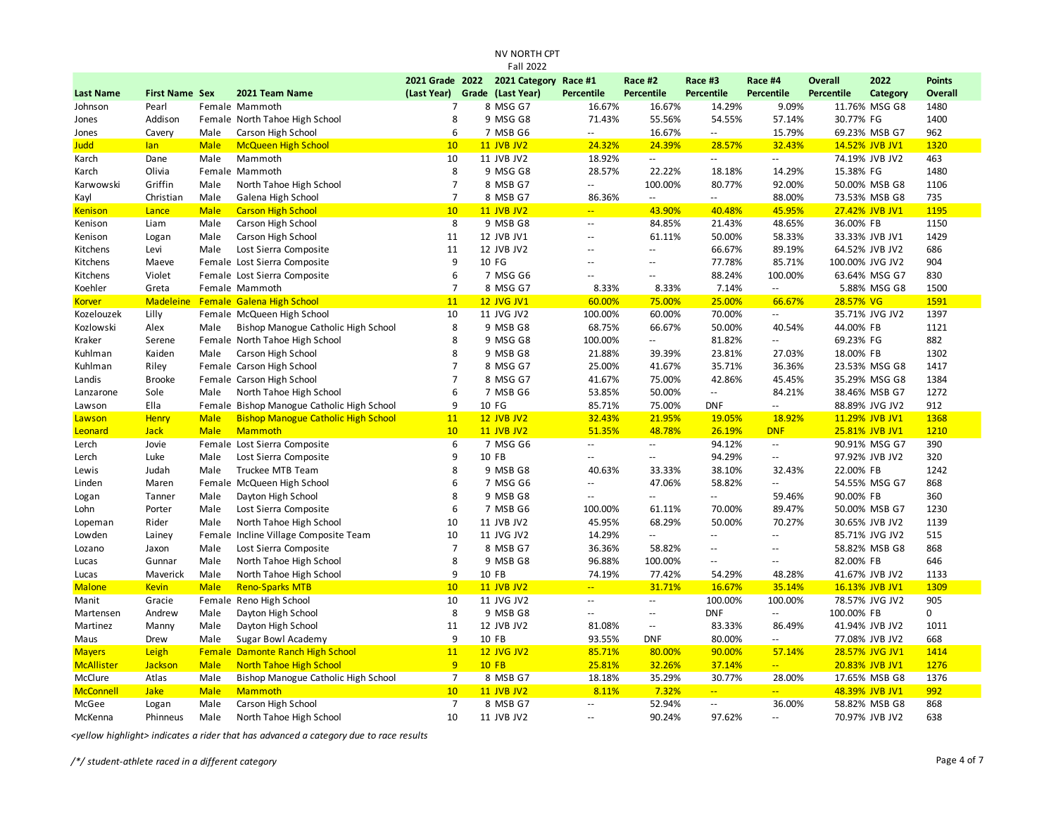|                   | NV NORTH CPT          |             |                                            |                 |  |                   |                |                   |                             |                           |                |                 |                |
|-------------------|-----------------------|-------------|--------------------------------------------|-----------------|--|-------------------|----------------|-------------------|-----------------------------|---------------------------|----------------|-----------------|----------------|
|                   |                       |             |                                            |                 |  | <b>Fall 2022</b>  |                |                   |                             |                           |                |                 |                |
|                   |                       |             |                                            | 2021 Grade 2022 |  | 2021 Category     | Race #1        | Race #2           | Race #3                     | Race #4                   | <b>Overall</b> | 2022            | <b>Points</b>  |
| <b>Last Name</b>  | <b>First Name Sex</b> |             | 2021 Team Name                             | (Last Year)     |  | Grade (Last Year) | Percentile     | <b>Percentile</b> | <b>Percentile</b>           | <b>Percentile</b>         | Percentile     | Category        | <b>Overall</b> |
| Johnson           | Pearl                 |             | Female Mammoth                             | 7               |  | 8 MSG G7          | 16.67%         | 16.67%            | 14.29%                      | 9.09%                     |                | 11.76% MSG G8   | 1480           |
| Jones             | Addison               |             | Female North Tahoe High School             | 8               |  | 9 MSG G8          | 71.43%         | 55.56%            | 54.55%                      | 57.14%                    | 30.77% FG      |                 | 1400           |
| Jones             | Cavery                | Male        | Carson High School                         | 6               |  | 7 MSB G6          | Ξ.             | 16.67%            | $\overline{\phantom{a}}$    | 15.79%                    |                | 69.23% MSB G7   | 962            |
| Judd              | lan                   | <b>Male</b> | <b>McQueen High School</b>                 | 10              |  | <b>11 JVB JV2</b> | 24.32%         | 24.39%            | 28.57%                      | 32.43%                    |                | 14.52% JVB JV1  | 1320           |
| Karch             | Dane                  | Male        | Mammoth                                    | 10              |  | 11 JVB JV2        | 18.92%         | Ξ.                | $\mathcal{L}_{\mathcal{L}}$ | $\sim$ $\sim$             |                | 74.19% JVB JV2  | 463            |
| Karch             | Olivia                |             | Female Mammoth                             | 8               |  | 9 MSG G8          | 28.57%         | 22.22%            | 18.18%                      | 14.29%                    | 15.38% FG      |                 | 1480           |
| Karwowski         | Griffin               | Male        | North Tahoe High School                    | $\overline{7}$  |  | 8 MSB G7          | Ξ.             | 100.00%           | 80.77%                      | 92.00%                    |                | 50.00% MSB G8   | 1106           |
| Kayl              | Christian             | Male        | Galena High School                         | $\overline{7}$  |  | 8 MSB G7          | 86.36%         | $\mathbf{u}$      | $\mathbb{L}^{\mathbb{L}}$   | 88.00%                    |                | 73.53% MSB G8   | 735            |
| <b>Kenison</b>    | Lance                 | <b>Male</b> | <b>Carson High School</b>                  | 10              |  | <b>11 JVB JV2</b> | $\equiv$       | 43.90%            | 40.48%                      | 45.95%                    |                | 27.42% JVB JV1  | 1195           |
| Kenison           | Liam                  | Male        | Carson High School                         | 8               |  | 9 MSB G8          | $\sim$ $\sim$  | 84.85%            | 21.43%                      | 48.65%                    | 36.00% FB      |                 | 1150           |
| Kenison           | Logan                 | Male        | Carson High School                         | 11              |  | 12 JVB JV1        | --             | 61.11%            | 50.00%                      | 58.33%                    |                | 33.33% JVB JV1  | 1429           |
| Kitchens          | Levi                  | Male        | Lost Sierra Composite                      | 11              |  | 12 JVB JV2        | $\sim$ $\sim$  | Ξ.                | 66.67%                      | 89.19%                    |                | 64.52% JVB JV2  | 686            |
| Kitchens          | Maeve                 |             | Female Lost Sierra Composite               | 9               |  | 10 FG             | Ξ.             | $\overline{a}$    | 77.78%                      | 85.71%                    |                | 100.00% JVG JV2 | 904            |
| Kitchens          | Violet                |             | Female Lost Sierra Composite               | 6               |  | 7 MSG G6          | ۵۵             | --                | 88.24%                      | 100.00%                   |                | 63.64% MSG G7   | 830            |
| Koehler           | Greta                 |             | Female Mammoth                             | $\overline{7}$  |  | 8 MSG G7          | 8.33%          | 8.33%             | 7.14%                       | $\overline{\phantom{a}}$  |                | 5.88% MSG G8    | 1500           |
| <b>Korver</b>     | <b>Madeleine</b>      |             | <b>Female Galena High School</b>           | 11              |  | <b>12 JVG JV1</b> | 60.00%         | 75.00%            | 25.00%                      | 66.67%                    | 28.57% VG      |                 | 1591           |
| Kozelouzek        | Lilly                 |             | Female McQueen High School                 | 10              |  | 11 JVG JV2        | 100.00%        | 60.00%            | 70.00%                      | $\sim$                    |                | 35.71% JVG JV2  | 1397           |
| Kozlowski         | Alex                  | Male        | Bishop Manogue Catholic High School        | 8               |  | 9 MSB G8          | 68.75%         | 66.67%            | 50.00%                      | 40.54%                    | 44.00% FB      |                 | 1121           |
| Kraker            | Serene                |             | Female North Tahoe High School             | 8               |  | 9 MSG G8          | 100.00%        | Ξ.                | 81.82%                      | $\mathbb{L}^2$            | 69.23% FG      |                 | 882            |
| Kuhlman           | Kaiden                | Male        | Carson High School                         | 8               |  | 9 MSB G8          | 21.88%         | 39.39%            | 23.81%                      | 27.03%                    | 18.00% FB      |                 | 1302           |
| Kuhlman           | Riley                 |             | Female Carson High School                  | $\overline{7}$  |  | 8 MSG G7          | 25.00%         | 41.67%            | 35.71%                      | 36.36%                    |                | 23.53% MSG G8   | 1417           |
| Landis            | <b>Brooke</b>         |             | Female Carson High School                  | $\overline{7}$  |  | 8 MSG G7          | 41.67%         | 75.00%            | 42.86%                      | 45.45%                    |                | 35.29% MSG G8   | 1384           |
| Lanzarone         | Sole                  | Male        | North Tahoe High School                    | 6               |  | 7 MSB G6          | 53.85%         | 50.00%            | Ξ.                          | 84.21%                    |                | 38.46% MSB G7   | 1272           |
| Lawson            | Ella                  |             | Female Bishop Manogue Catholic High School | 9               |  | 10 FG             | 85.71%         | 75.00%            | DNF                         | $\sim$                    |                | 88.89% JVG JV2  | 912            |
| Lawson            | Henry                 | <b>Male</b> | <b>Bishop Manogue Catholic High School</b> | 11              |  | <b>12 JVB JV2</b> | 32.43%         | 21.95%            | 19.05%                      | 18.92%                    |                | 11.29% JVB JV1  | 1368           |
| <b>Leonard</b>    | <b>Jack</b>           | <b>Male</b> | <b>Mammoth</b>                             | 10              |  | <b>11 JVB JV2</b> | 51.35%         | 48.78%            | 26.19%                      | <b>DNF</b>                |                | 25.81% JVB JV1  | 1210           |
| Lerch             | Jovie                 |             | Female Lost Sierra Composite               | 6               |  | 7 MSG G6          | --             | ÷.                | 94.12%                      | $\sim$                    |                | 90.91% MSG G7   | 390            |
| Lerch             | Luke                  | Male        | Lost Sierra Composite                      | 9               |  | 10 FB             | --             | Ξ.                | 94.29%                      | $\sim$                    |                | 97.92% JVB JV2  | 320            |
| Lewis             | Judah                 | Male        | Truckee MTB Team                           | 8               |  | 9 MSB G8          | 40.63%         | 33.33%            | 38.10%                      | 32.43%                    | 22.00% FB      |                 | 1242           |
| Linden            | Maren                 |             | Female McQueen High School                 | 6               |  | 7 MSG G6          | --             | 47.06%            | 58.82%                      | $\mathbb{L}^2$            |                | 54.55% MSG G7   | 868            |
|                   |                       |             |                                            | 8               |  |                   | Ξ.             | Ξ.                | ÷.                          |                           |                |                 | 360            |
| Logan             | Tanner                | Male        | Dayton High School                         |                 |  | 9 MSB G8          |                |                   |                             | 59.46%                    | 90.00% FB      |                 |                |
| Lohn              | Porter                | Male        | Lost Sierra Composite                      | 6               |  | 7 MSB G6          | 100.00%        | 61.11%            | 70.00%                      | 89.47%                    |                | 50.00% MSB G7   | 1230           |
| Lopeman           | Rider                 | Male        | North Tahoe High School                    | 10              |  | 11 JVB JV2        | 45.95%         | 68.29%            | 50.00%                      | 70.27%                    |                | 30.65% JVB JV2  | 1139           |
| Lowden            | Lainey                |             | Female Incline Village Composite Team      | 10              |  | 11 JVG JV2        | 14.29%         | Ξ.                | $\overline{\phantom{a}}$    | $\sim$                    |                | 85.71% JVG JV2  | 515            |
| Lozano            | Jaxon                 | Male        | Lost Sierra Composite                      | $\overline{7}$  |  | 8 MSB G7          | 36.36%         | 58.82%            | $\mathbf{L}$                | $\ddotsc$                 |                | 58.82% MSB G8   | 868            |
| Lucas             | Gunnar                | Male        | North Tahoe High School                    | 8               |  | 9 MSB G8          | 96.88%         | 100.00%           | $\sim$ $\sim$               | $\sim$ $\sim$             | 82.00% FB      |                 | 646            |
| Lucas             | Maverick              | Male        | North Tahoe High School                    | 9               |  | 10 FB             | 74.19%         | 77.42%            | 54.29%                      | 48.28%                    |                | 41.67% JVB JV2  | 1133           |
| <b>Malone</b>     | <b>Kevin</b>          | <b>Male</b> | <b>Reno-Sparks MTB</b>                     | 10              |  | <b>11 JVB JV2</b> | $\frac{1}{2}$  | 31.71%            | 16.67%                      | 35.14%                    |                | 16.13% JVB JV1  | 1309           |
| Manit             | Gracie                |             | Female Reno High School                    | 10              |  | 11 JVG JV2        | $\mathbb{L}^2$ | Ξ.                | 100.00%                     | 100.00%                   |                | 78.57% JVG JV2  | 905            |
| Martensen         | Andrew                | Male        | Dayton High School                         | 8               |  | 9 MSB G8          | Ξ.             | $\overline{a}$    | <b>DNF</b>                  | $\mathbb{L}^{\mathbb{L}}$ | 100.00% FB     |                 | 0              |
| Martinez          | Manny                 | Male        | Dayton High School                         | 11              |  | 12 JVB JV2        | 81.08%         | $\ddotsc$         | 83.33%                      | 86.49%                    |                | 41.94% JVB JV2  | 1011           |
| Maus              | Drew                  | Male        | Sugar Bowl Academy                         | 9               |  | 10 FB             | 93.55%         | <b>DNF</b>        | 80.00%                      | ÷.                        |                | 77.08% JVB JV2  | 668            |
| <b>Mayers</b>     | Leigh                 |             | <b>Female Damonte Ranch High School</b>    | 11              |  | <b>12 JVG JV2</b> | 85.71%         | 80.00%            | 90.00%                      | 57.14%                    |                | 28.57% JVG JV1  | 1414           |
| <b>McAllister</b> | Jackson               | <b>Male</b> | <b>North Tahoe High School</b>             | 9               |  | <b>10 FB</b>      | 25.81%         | 32.26%            | 37.14%                      | $\rightarrow$             |                | 20.83% JVB JV1  | 1276           |
| McClure           | Atlas                 | Male        | Bishop Manogue Catholic High School        | 7               |  | 8 MSB G7          | 18.18%         | 35.29%            | 30.77%                      | 28.00%                    |                | 17.65% MSB G8   | 1376           |
| <b>McConnell</b>  | <b>Jake</b>           | <b>Male</b> | <b>Mammoth</b>                             | 10 <sup>°</sup> |  | <b>11 JVB JV2</b> | 8.11%          | 7.32%             | $\frac{1}{2}$               |                           |                | 48.39% JVB JV1  | 992            |
| McGee             | Logan                 | Male        | Carson High School                         | $\overline{7}$  |  | 8 MSB G7          | Ξ.             | 52.94%            | $\mathbb{L}^{\mathbb{L}}$   | 36.00%                    |                | 58.82% MSB G8   | 868            |
| McKenna           | Phinneus              | Male        | North Tahoe High School                    | 10              |  | 11 JVB JV2        | $-$            | 90.24%            | 97.62%                      | $\sim$                    |                | 70.97% JVB JV2  | 638            |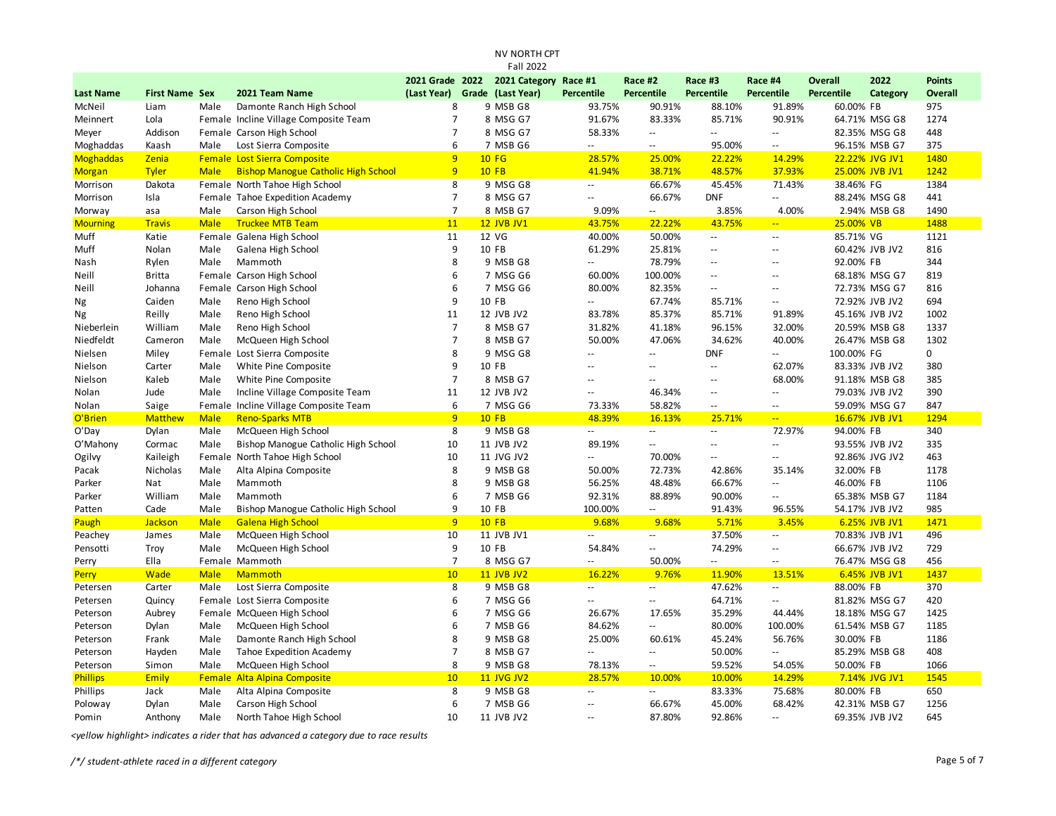|                  | NV NORTH CPT          |             |                                            |                 |  |                   |                   |                          |                            |                          |                   |                |                |
|------------------|-----------------------|-------------|--------------------------------------------|-----------------|--|-------------------|-------------------|--------------------------|----------------------------|--------------------------|-------------------|----------------|----------------|
|                  |                       |             |                                            |                 |  | <b>Fall 2022</b>  |                   |                          |                            |                          |                   |                |                |
|                  |                       |             |                                            | 2021 Grade 2022 |  | 2021 Category     | Race #1           | Race #2                  | Race #3                    | Race #4                  | <b>Overall</b>    | 2022           | <b>Points</b>  |
| <b>Last Name</b> | <b>First Name Sex</b> |             | 2021 Team Name                             | (Last Year)     |  | Grade (Last Year) | <b>Percentile</b> | Percentile               | Percentile                 | Percentile               | <b>Percentile</b> | Category       | <b>Overall</b> |
| McNeil           | Liam                  | Male        | Damonte Ranch High School                  | 8               |  | 9 MSB G8          | 93.75%            | 90.91%                   | 88.10%                     | 91.89%                   | 60.00% FB         |                | 975            |
| Meinnert         | Lola                  |             | Female Incline Village Composite Team      | $\overline{7}$  |  | 8 MSG G7          | 91.67%            | 83.33%                   | 85.71%                     | 90.91%                   |                   | 64.71% MSG G8  | 1274           |
| Meyer            | Addison               |             | Female Carson High School                  | $\overline{7}$  |  | 8 MSG G7          | 58.33%            | $\ddotsc$                | $\mathbb{L}^{\mathbb{L}}$  | $\sim$                   |                   | 82.35% MSG G8  | 448            |
| Moghaddas        | Kaash                 | Male        | Lost Sierra Composite                      | 6               |  | 7 MSB G6          | Ξ.                | $\overline{\phantom{a}}$ | 95.00%                     | $\overline{\phantom{a}}$ |                   | 96.15% MSB G7  | 375            |
| <b>Moghaddas</b> | Zenia                 |             | <b>Female Lost Sierra Composite</b>        | 9               |  | <b>10 FG</b>      | 28.57%            | 25.00%                   | 22.22%                     | 14.29%                   |                   | 22.22% JVG JV1 | 1480           |
| <b>Morgan</b>    | <b>Tyler</b>          | <b>Male</b> | <b>Bishop Manogue Catholic High School</b> | 9               |  | <b>10 FB</b>      | 41.94%            | 38.71%                   | 48.57%                     | 37.93%                   |                   | 25.00% JVB JV1 | 1242           |
| Morrison         | Dakota                |             | Female North Tahoe High School             | 8               |  | 9 MSG G8          | Ξ.                | 66.67%                   | 45.45%                     | 71.43%                   | 38.46% FG         |                | 1384           |
| Morrison         | Isla                  |             | Female Tahoe Expedition Academy            | $\overline{7}$  |  | 8 MSG G7          | Ξ.                | 66.67%                   | <b>DNF</b>                 | $\mathbb{L}^2$           |                   | 88.24% MSG G8  | 441            |
| Morway           | asa                   | Male        | Carson High School                         | $\overline{7}$  |  | 8 MSB G7          | 9.09%             | Ξ.                       | 3.85%                      | 4.00%                    |                   | 2.94% MSB G8   | 1490           |
| <b>Mourning</b>  | <b>Travis</b>         | <b>Male</b> | <b>Truckee MTB Team</b>                    | 11              |  | <b>12 JVB JV1</b> | 43.75%            | 22.22%                   | 43.75%                     | $\overline{\phantom{a}}$ | 25.00% VB         |                | 1488           |
| Muff             | Katie                 |             | Female Galena High School                  | 11              |  | 12 VG             | 40.00%            | 50.00%                   | $\mathbf{u}$               | $\sim$                   | 85.71% VG         |                | 1121           |
| Muff             | Nolan                 | Male        | Galena High School                         | 9               |  | 10 FB             | 61.29%            | 25.81%                   | Ξ.                         | $\sim$                   |                   | 60.42% JVB JV2 | 816            |
| Nash             | Rylen                 | Male        | Mammoth                                    | 8               |  | 9 MSB G8          | Ξ.                | 78.79%                   | ÷.                         | $\sim$                   | 92.00% FB         |                | 344            |
| Neill            | <b>Britta</b>         |             | Female Carson High School                  | 6               |  | 7 MSG G6          | 60.00%            | 100.00%                  | Ξ.                         | $\sim$                   |                   | 68.18% MSG G7  | 819            |
| Neill            | Johanna               |             | Female Carson High School                  | 6               |  | 7 MSG G6          | 80.00%            | 82.35%                   | $\sim$                     | $\sim$                   |                   | 72.73% MSG G7  | 816            |
| Ng               | Caiden                | Male        | Reno High School                           | 9               |  | 10 FB             |                   | 67.74%                   | 85.71%                     | ÷.                       |                   | 72.92% JVB JV2 | 694            |
| Ng               | Reilly                | Male        | Reno High School                           | 11              |  | 12 JVB JV2        | 83.78%            | 85.37%                   | 85.71%                     | 91.89%                   |                   | 45.16% JVB JV2 | 1002           |
| Nieberlein       | William               | Male        | Reno High School                           | $\overline{7}$  |  | 8 MSB G7          | 31.82%            | 41.18%                   | 96.15%                     | 32.00%                   |                   | 20.59% MSB G8  | 1337           |
| Niedfeldt        | Cameron               | Male        | McQueen High School                        | $\overline{7}$  |  | 8 MSB G7          | 50.00%            | 47.06%                   | 34.62%                     | 40.00%                   |                   | 26.47% MSB G8  | 1302           |
| Nielsen          | Miley                 |             | Female Lost Sierra Composite               | 8               |  | 9 MSG G8          | ۵.                | Ξ.                       | <b>DNF</b>                 |                          | 100.00% FG        |                | 0              |
| Nielson          | Carter                | Male        | White Pine Composite                       | 9               |  | 10 FB             | --                | $\overline{a}$           | $\overline{\phantom{a}}$   | 62.07%                   |                   | 83.33% JVB JV2 | 380            |
| Nielson          | Kaleb                 | Male        | White Pine Composite                       | $\overline{7}$  |  | 8 MSB G7          | Ξ.                | $\overline{a}$           | $\sim$ $\sim$              | 68.00%                   |                   | 91.18% MSB G8  | 385            |
| Nolan            | Jude                  | Male        | Incline Village Composite Team             | 11              |  | 12 JVB JV2        | --                | 46.34%                   | $\overline{\phantom{a}}$   | $\sim$ $\sim$            |                   | 79.03% JVB JV2 | 390            |
| Nolan            | Saige                 |             | Female Incline Village Composite Team      | 6               |  | 7 MSG G6          | 73.33%            | 58.82%                   | $\mathbf{u}$               | $\mathbf{u}$             |                   | 59.09% MSG G7  | 847            |
| O'Brien          | <b>Matthew</b>        | <b>Male</b> | <b>Reno-Sparks MTB</b>                     | 9               |  | <b>10 FB</b>      | 48.39%            | 16.13%                   | 25.71%                     | $\mathbb{L}\mathbb{L}$   |                   | 16.67% JVB JV1 | 1294           |
| O'Day            | Dylan                 | Male        | McQueen High School                        | 8               |  | 9 MSB G8          | Ξ.                | Ξ.                       | $\mathbb{L}^{\mathbb{L}}$  | 72.97%                   | 94.00% FB         |                | 340            |
| O'Mahony         | Cormac                | Male        | Bishop Manogue Catholic High School        | 10              |  | 11 JVB JV2        | 89.19%            | $\overline{a}$           | $\sim$ $\sim$              | $\sim$ $\sim$            |                   | 93.55% JVB JV2 | 335            |
| Ogilvy           | Kaileigh              |             | Female North Tahoe High School             | 10              |  | 11 JVG JV2        | u.                | 70.00%                   | $\mathbb{L}^{\mathbb{L}}$  | $\mathbf{u}$             |                   | 92.86% JVG JV2 | 463            |
| Pacak            | Nicholas              | Male        | Alta Alpina Composite                      | 8               |  | 9 MSB G8          | 50.00%            | 72.73%                   | 42.86%                     | 35.14%                   | 32.00% FB         |                | 1178           |
| Parker           | Nat                   | Male        | Mammoth                                    | 8               |  | 9 MSB G8          | 56.25%            | 48.48%                   | 66.67%                     | $\overline{\phantom{a}}$ | 46.00% FB         |                | 1106           |
| Parker           | William               | Male        | Mammoth                                    | 6               |  | 7 MSB G6          | 92.31%            | 88.89%                   | 90.00%                     | $\sim$ $\sim$            |                   | 65.38% MSB G7  | 1184           |
| Patten           | Cade                  | Male        | Bishop Manogue Catholic High School        | 9               |  | 10 FB             | 100.00%           | $\overline{\phantom{a}}$ | 91.43%                     | 96.55%                   |                   | 54.17% JVB JV2 | 985            |
| <b>Paugh</b>     | Jackson               | <b>Male</b> | <b>Galena High School</b>                  | $\overline{9}$  |  | $10$ FB           | 9.68%             | 9.68%                    | 5.71%                      | 3.45%                    |                   | 6.25% JVB JV1  | 1471           |
| Peachey          | James                 | Male        | McQueen High School                        | 10              |  | 11 JVB JV1        | Ξ.                | $\overline{\phantom{a}}$ | 37.50%                     | $\overline{a}$           |                   | 70.83% JVB JV1 | 496            |
| Pensotti         | Troy                  | Male        | McQueen High School                        | 9               |  | 10 FB             | 54.84%            | $\overline{\phantom{a}}$ | 74.29%                     | $\sim$                   |                   | 66.67% JVB JV2 | 729            |
| Perry            | Ella                  |             | Female Mammoth                             | $\overline{7}$  |  | 8 MSG G7          | $\sim$ $\sim$     | 50.00%                   | $\mathcal{L}(\mathcal{L})$ | $\sim$                   |                   | 76.47% MSG G8  | 456            |
| <b>Perry</b>     | <b>Wade</b>           | <b>Male</b> | Mammoth                                    | 10              |  | <b>11 JVB JV2</b> | 16.22%            | 9.76%                    | 11.90%                     | 13.51%                   |                   | 6.45% JVB JV1  | 1437           |
| Petersen         | Carter                | Male        | Lost Sierra Composite                      | 8               |  | 9 MSB G8          | Ξ.                | $\overline{a}$           | 47.62%                     | $\overline{\phantom{a}}$ | 88.00% FB         |                | 370            |
| Petersen         | Quincy                |             | Female Lost Sierra Composite               | 6               |  | 7 MSG G6          | Ξ.                | --                       | 64.71%                     | $\sim$                   |                   | 81.82% MSG G7  | 420            |
| Peterson         | Aubrey                |             | Female McQueen High School                 | 6               |  | 7 MSG G6          | 26.67%            | 17.65%                   | 35.29%                     | 44.44%                   |                   | 18.18% MSG G7  | 1425           |
| Peterson         | Dylan                 | Male        | McQueen High School                        | 6               |  | 7 MSB G6          | 84.62%            | $\overline{\phantom{a}}$ | 80.00%                     | 100.00%                  |                   | 61.54% MSB G7  | 1185           |
| Peterson         | Frank                 | Male        | Damonte Ranch High School                  | 8               |  | 9 MSB G8          | 25.00%            | 60.61%                   | 45.24%                     | 56.76%                   | 30.00% FB         |                | 1186           |
| Peterson         | Hayden                | Male        | <b>Tahoe Expedition Academy</b>            | $\overline{7}$  |  | 8 MSB G7          | --                | $\overline{a}$           | 50.00%                     | $\mathbf{u}$             |                   | 85.29% MSB G8  | 408            |
| Peterson         | Simon                 | Male        | McQueen High School                        | 8               |  | 9 MSB G8          | 78.13%            | $\overline{\phantom{a}}$ | 59.52%                     | 54.05%                   | 50.00% FB         |                | 1066           |
| <b>Phillips</b>  | <b>Emily</b>          |             | Female Alta Alpina Composite               | 10              |  | <b>11 JVG JV2</b> | 28.57%            | 10.00%                   | 10.00%                     | 14.29%                   |                   | 7.14% JVG JV1  | 1545           |
| Phillips         | Jack                  | Male        | Alta Alpina Composite                      | 8               |  | 9 MSB G8          | Ξ.                | $\ddotsc$                | 83.33%                     | 75.68%                   | 80.00% FB         |                | 650            |
| Poloway          | Dylan                 | Male        | Carson High School                         | 6               |  | 7 MSB G6          | --                | 66.67%                   | 45.00%                     | 68.42%                   |                   | 42.31% MSB G7  | 1256           |
| Pomin            | Anthony               | Male        | North Tahoe High School                    | 10              |  | 11 JVB JV2        | ۵.                | 87.80%                   | 92.86%                     | $\sim$                   |                   | 69.35% JVB JV2 | 645            |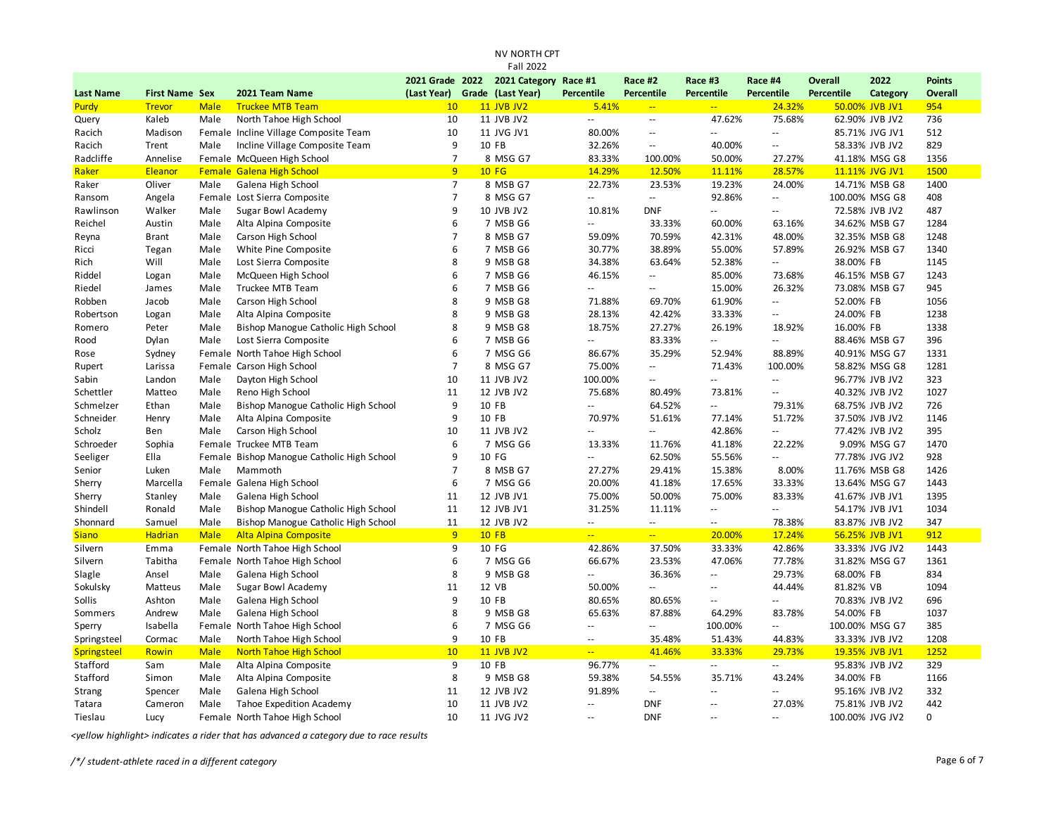|                    |                       |             |                                            |                 | NV NORTH CPT<br><b>Fall 2022</b> |                            |                                               |                           |                           |                   |                 |                |
|--------------------|-----------------------|-------------|--------------------------------------------|-----------------|----------------------------------|----------------------------|-----------------------------------------------|---------------------------|---------------------------|-------------------|-----------------|----------------|
|                    |                       |             |                                            | 2021 Grade 2022 | 2021 Category Race #1            |                            | Race #2                                       | Race #3                   | Race #4                   | <b>Overall</b>    | 2022            | <b>Points</b>  |
| <b>Last Name</b>   | <b>First Name Sex</b> |             | 2021 Team Name                             | (Last Year)     | Grade (Last Year)                | <b>Percentile</b>          | Percentile                                    | Percentile                | <b>Percentile</b>         | <b>Percentile</b> | Category        | <b>Overall</b> |
| Purdy              | <b>Trevor</b>         | <b>Male</b> | <b>Truckee MTB Team</b>                    | 10              | <b>11 JVB JV2</b>                | 5.41%                      | $\rightarrow$                                 | $\overline{a}$            | 24.32%                    |                   | 50.00% JVB JV1  | 954            |
| Query              | Kaleb                 | Male        | North Tahoe High School                    | 10              | 11 JVB JV2                       | $\overline{\phantom{a}}$   | $\sim$                                        | 47.62%                    | 75.68%                    |                   | 62.90% JVB JV2  | 736            |
| Racich             | Madison               |             | Female Incline Village Composite Team      | 10              | 11 JVG JV1                       | 80.00%                     | $\sim$                                        | Щ,                        | u.                        |                   | 85.71% JVG JV1  | 512            |
| Racich             | Trent                 | Male        | Incline Village Composite Team             | 9               | 10 FB                            | 32.26%                     | $\sim$                                        | 40.00%                    | $\overline{\phantom{a}}$  |                   | 58.33% JVB JV2  | 829            |
| Radcliffe          | Annelise              |             | Female McQueen High School                 | $\overline{7}$  | 8 MSG G7                         | 83.33%                     | 100.00%                                       | 50.00%                    | 27.27%                    |                   | 41.18% MSG G8   | 1356           |
| Raker              | Eleanor               |             | <b>Female Galena High School</b>           | 9               | <b>10 FG</b>                     | 14.29%                     | 12.50%                                        | 11.11%                    | 28.57%                    |                   | 11.11% JVG JV1  | 1500           |
| Raker              | Oliver                | Male        | Galena High School                         | $\overline{7}$  | 8 MSB G7                         | 22.73%                     | 23.53%                                        | 19.23%                    | 24.00%                    |                   | 14.71% MSB G8   | 1400           |
| Ransom             | Angela                |             | Female Lost Sierra Composite               | $\overline{7}$  | 8 MSG G7                         | $\mathbb{L}^{\mathbb{L}}$  | $\mathbb{L}^{\mathbb{L}}$                     | 92.86%                    | $\sim$                    |                   | 100.00% MSG G8  | 408            |
| Rawlinson          | Walker                | Male        | Sugar Bowl Academy                         | 9               | 10 JVB JV2                       | 10.81%                     | <b>DNF</b>                                    | ш.                        | $\mathbf{u}$              |                   | 72.58% JVB JV2  | 487            |
| Reichel            | Austin                | Male        | Alta Alpina Composite                      | 6               | 7 MSB G6                         | ÷.                         | 33.33%                                        | 60.00%                    | 63.16%                    |                   | 34.62% MSB G7   | 1284           |
| Reyna              | <b>Brant</b>          | Male        | Carson High School                         | $\overline{7}$  | 8 MSB G7                         | 59.09%                     | 70.59%                                        | 42.31%                    | 48.00%                    |                   | 32.35% MSB G8   | 1248           |
| Ricci              | Tegan                 | Male        | White Pine Composite                       | 6               | 7 MSB G6                         | 30.77%                     | 38.89%                                        | 55.00%                    | 57.89%                    |                   | 26.92% MSB G7   | 1340           |
| Rich               | Will                  | Male        | Lost Sierra Composite                      | 8               | 9 MSB G8                         | 34.38%                     | 63.64%                                        | 52.38%                    | Щ.                        | 38.00% FB         |                 | 1145           |
| Riddel             | Logan                 | Male        | McQueen High School                        | 6               | 7 MSB G6                         | 46.15%                     | $\overline{\phantom{a}}$                      | 85.00%                    | 73.68%                    |                   | 46.15% MSB G7   | 1243           |
| Riedel             | James                 | Male        | Truckee MTB Team                           | 6               | 7 MSB G6                         | $\mathbb{Z}^2$             | $\sim$ $\sim$                                 | 15.00%                    | 26.32%                    |                   | 73.08% MSB G7   | 945            |
| Robben             | Jacob                 | Male        | Carson High School                         | 8               | 9 MSB G8                         | 71.88%                     | 69.70%                                        | 61.90%                    | $\sim$                    | 52.00% FB         |                 | 1056           |
| Robertson          | Logan                 | Male        | Alta Alpina Composite                      | 8               | 9 MSB G8                         | 28.13%                     | 42.42%                                        | 33.33%                    | Щ.                        | 24.00% FB         |                 | 1238           |
| Romero             | Peter                 | Male        | Bishop Manogue Catholic High School        | 8               | 9 MSB G8                         | 18.75%                     | 27.27%                                        | 26.19%                    | 18.92%                    | 16.00% FB         |                 | 1338           |
| Rood               | Dylan                 | Male        | Lost Sierra Composite                      | 6               | 7 MSB G6                         | $\overline{\phantom{a}}$   | 83.33%                                        | Щ.                        | $\sim$                    |                   | 88.46% MSB G7   | 396            |
| Rose               | Sydney                |             | Female North Tahoe High School             | 6               | 7 MSG G6                         | 86.67%                     | 35.29%                                        | 52.94%                    | 88.89%                    |                   | 40.91% MSG G7   | 1331           |
| Rupert             | Larissa               |             | Female Carson High School                  | $\overline{7}$  | 8 MSG G7                         | 75.00%                     | $\overline{\phantom{a}}$                      | 71.43%                    | 100.00%                   |                   | 58.82% MSG G8   | 1281           |
| Sabin              | Landon                | Male        | Dayton High School                         | 10              | 11 JVB JV2                       | 100.00%                    | $\sim$ $\sim$                                 | Ξ.                        | Ξ.                        |                   | 96.77% JVB JV2  | 323            |
| Schettler          | Matteo                | Male        | Reno High School                           | 11              | 12 JVB JV2                       | 75.68%                     | 80.49%                                        | 73.81%                    | $\mathbb{Z}^{\mathbb{Z}}$ |                   | 40.32% JVB JV2  | 1027           |
| Schmelzer          | Ethan                 | Male        | Bishop Manogue Catholic High School        | 9               | 10 FB                            | $\mathcal{L}(\mathcal{L})$ | 64.52%                                        | $\mathbb{L}^{\mathbb{L}}$ | 79.31%                    |                   | 68.75% JVB JV2  | 726            |
| Schneider          | Henry                 | Male        | Alta Alpina Composite                      | 9               | 10 FB                            | 70.97%                     | 51.61%                                        | 77.14%                    | 51.72%                    |                   | 37.50% JVB JV2  | 1146           |
| Scholz             | Ben                   | Male        | Carson High School                         | 10              | 11 JVB JV2                       | ă.                         | $\mathord{\hspace{1pt}\text{--}\hspace{1pt}}$ | 42.86%                    | Щ.                        |                   | 77.42% JVB JV2  | 395            |
| Schroeder          | Sophia                |             | Female Truckee MTB Team                    | 6               | 7 MSG G6                         | 13.33%                     | 11.76%                                        | 41.18%                    | 22.22%                    |                   | 9.09% MSG G7    | 1470           |
| Seeliger           | Ella                  |             | Female Bishop Manogue Catholic High School | 9               | 10 FG                            | $\mathcal{L}(\mathcal{L})$ | 62.50%                                        | 55.56%                    | $\mathbf{u}$              |                   | 77.78% JVG JV2  | 928            |
| Senior             | Luken                 | Male        | Mammoth                                    | $\overline{7}$  | 8 MSB G7                         | 27.27%                     | 29.41%                                        | 15.38%                    | 8.00%                     |                   | 11.76% MSB G8   | 1426           |
| Sherry             | Marcella              |             | Female Galena High School                  | 6               | 7 MSG G6                         | 20.00%                     | 41.18%                                        | 17.65%                    | 33.33%                    |                   | 13.64% MSG G7   | 1443           |
| Sherry             | Stanley               | Male        | Galena High School                         | 11              | 12 JVB JV1                       | 75.00%                     | 50.00%                                        | 75.00%                    | 83.33%                    |                   | 41.67% JVB JV1  | 1395           |
| Shindell           | Ronald                | Male        | Bishop Manogue Catholic High School        | 11              | 12 JVB JV1                       | 31.25%                     | 11.11%                                        | $\sim$                    | $\mathbb{L}^{\mathbb{L}}$ |                   | 54.17% JVB JV1  | 1034           |
| Shonnard           | Samuel                | Male        | Bishop Manogue Catholic High School        | 11              | 12 JVB JV2                       | $\overline{\phantom{a}}$   | $\overline{\phantom{a}}$                      | $\overline{\phantom{a}}$  | 78.38%                    |                   | 83.87% JVB JV2  | 347            |
| <b>Siano</b>       | Hadrian               | <b>Male</b> | <b>Alta Alpina Composite</b>               | 9               | <b>10 FB</b>                     | $\mathbb{Z}[\mathbb{Z}_p]$ | $\frac{1}{2}$                                 | 20.00%                    | 17.24%                    |                   | 56.25% JVB JV1  | 912            |
| Silvern            | Emma                  |             | Female North Tahoe High School             | 9               | 10 FG                            | 42.86%                     | 37.50%                                        | 33.33%                    | 42.86%                    |                   | 33.33% JVG JV2  | 1443           |
| Silvern            | Tabitha               |             | Female North Tahoe High School             | 6               | 7 MSG G6                         | 66.67%                     | 23.53%                                        | 47.06%                    | 77.78%                    |                   | 31.82% MSG G7   | 1361           |
| Slagle             | Ansel                 | Male        | Galena High School                         | 8               | 9 MSB G8                         | $\overline{\phantom{a}}$   | 36.36%                                        | $\overline{\phantom{a}}$  | 29.73%                    | 68.00% FB         |                 | 834            |
| Sokulsky           | Matteus               | Male        | Sugar Bowl Academy                         | 11              | 12 VB                            | 50.00%                     | $\mathord{\hspace{1pt}\text{--}\hspace{1pt}}$ | $\overline{\phantom{a}}$  | 44.44%                    | 81.82% VB         |                 | 1094           |
| Sollis             | Ashton                | Male        | Galena High School                         | 9               | 10 FB                            | 80.65%                     | 80.65%                                        | $\overline{\phantom{a}}$  | $\mathbb{L}^{\mathbb{L}}$ |                   | 70.83% JVB JV2  | 696            |
| Sommers            | Andrew                | Male        | Galena High School                         | 8               | 9 MSB G8                         | 65.63%                     | 87.88%                                        | 64.29%                    | 83.78%                    | 54.00% FB         |                 | 1037           |
| Sperry             | Isabella              |             | Female North Tahoe High School             | 6               | 7 MSG G6                         | $\sim$ $\sim$              | $\sim$ $\sim$                                 | 100.00%                   | $\sim$                    |                   | 100.00% MSG G7  | 385            |
| Springsteel        | Cormac                | Male        | North Tahoe High School                    | 9               | 10 FB                            | $\mathbf{u}$               | 35.48%                                        | 51.43%                    | 44.83%                    |                   | 33.33% JVB JV2  | 1208           |
| <b>Springsteel</b> | Rowin                 | <b>Male</b> | <b>North Tahoe High School</b>             | 10              | <b>11 JVB JV2</b>                | $\frac{1}{2}$              | 41.46%                                        | 33.33%                    | 29.73%                    |                   | 19.35% JVB JV1  | 1252           |
| Stafford           | Sam                   | Male        | Alta Alpina Composite                      | 9               | 10 FB                            | 96.77%                     | $\overline{\phantom{a}}$                      | $\sim$                    | $\sim$                    |                   | 95.83% JVB JV2  | 329            |
| Stafford           | Simon                 | Male        | Alta Alpina Composite                      | 8               | 9 MSB G8                         | 59.38%                     | 54.55%                                        | 35.71%                    | 43.24%                    | 34.00% FB         |                 | 1166           |
| Strang             | Spencer               | Male        | Galena High School                         | 11              | 12 JVB JV2                       | 91.89%                     | Ξ.                                            | --                        | Ξ.                        |                   | 95.16% JVB JV2  | 332            |
| Tatara             | Cameron               | Male        | <b>Tahoe Expedition Academy</b>            | 10              | 11 JVB JV2                       | $\overline{\phantom{a}}$   | <b>DNF</b>                                    | $\mathbf{u}$              | 27.03%                    |                   | 75.81% JVB JV2  | 442            |
| Tieslau            | Lucy                  |             | Female North Tahoe High School             | 10              | 11 JVG JV2                       | $\sim$ $\sim$              | <b>DNF</b>                                    | $-$                       | $\mathbb{Z}^2$            |                   | 100.00% JVG JV2 | 0              |